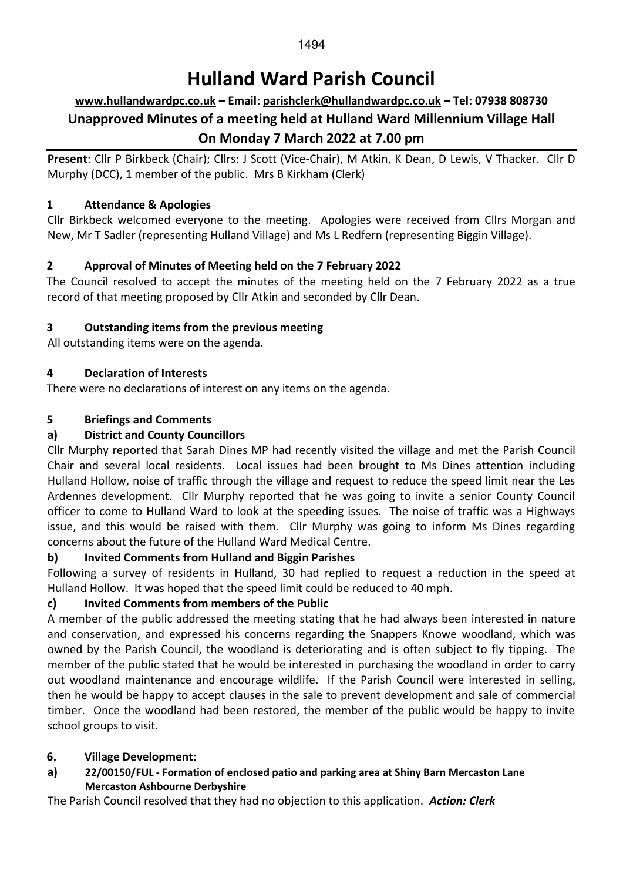# **Hulland Ward Parish Council**

# **[www.hullandwardpc.co.uk](http://www.hullandwardpc.co.uk/) – Email: [parishclerk@hullandwardpc.co.uk](mailto:parishclerk@hullandwardpc.co.uk) – Tel: 07938 808730 Unapproved Minutes of a meeting held at Hulland Ward Millennium Village Hall On Monday 7 March 2022 at 7.00 pm**

**Present**: Cllr P Birkbeck (Chair); Cllrs: J Scott (Vice-Chair), M Atkin, K Dean, D Lewis, V Thacker. Cllr D Murphy (DCC), 1 member of the public. Mrs B Kirkham (Clerk)

## **1 Attendance & Apologies**

Cllr Birkbeck welcomed everyone to the meeting. Apologies were received from Cllrs Morgan and New, Mr T Sadler (representing Hulland Village) and Ms L Redfern (representing Biggin Village).

## **2 Approval of Minutes of Meeting held on the 7 February 2022**

The Council resolved to accept the minutes of the meeting held on the 7 February 2022 as a true record of that meeting proposed by Cllr Atkin and seconded by Cllr Dean.

## **3 Outstanding items from the previous meeting**

All outstanding items were on the agenda.

## **4 Declaration of Interests**

There were no declarations of interest on any items on the agenda.

## **5 Briefings and Comments**

## **a) District and County Councillors**

Cllr Murphy reported that Sarah Dines MP had recently visited the village and met the Parish Council Chair and several local residents. Local issues had been brought to Ms Dines attention including Hulland Hollow, noise of traffic through the village and request to reduce the speed limit near the Les Ardennes development. Cllr Murphy reported that he was going to invite a senior County Council officer to come to Hulland Ward to look at the speeding issues. The noise of traffic was a Highways issue, and this would be raised with them. Cllr Murphy was going to inform Ms Dines regarding concerns about the future of the Hulland Ward Medical Centre.

## **b) Invited Comments from Hulland and Biggin Parishes**

Following a survey of residents in Hulland, 30 had replied to request a reduction in the speed at Hulland Hollow. It was hoped that the speed limit could be reduced to 40 mph.

## **c) Invited Comments from members of the Public**

A member of the public addressed the meeting stating that he had always been interested in nature and conservation, and expressed his concerns regarding the Snappers Knowe woodland, which was owned by the Parish Council, the woodland is deteriorating and is often subject to fly tipping. The member of the public stated that he would be interested in purchasing the woodland in order to carry out woodland maintenance and encourage wildlife. If the Parish Council were interested in selling, then he would be happy to accept clauses in the sale to prevent development and sale of commercial timber. Once the woodland had been restored, the member of the public would be happy to invite school groups to visit.

## **6. Village Development:**

**a) 22/00150/FUL - Formation of enclosed patio and parking area at Shiny Barn Mercaston Lane Mercaston Ashbourne Derbyshire**

The Parish Council resolved that they had no objection to this application. *Action: Clerk*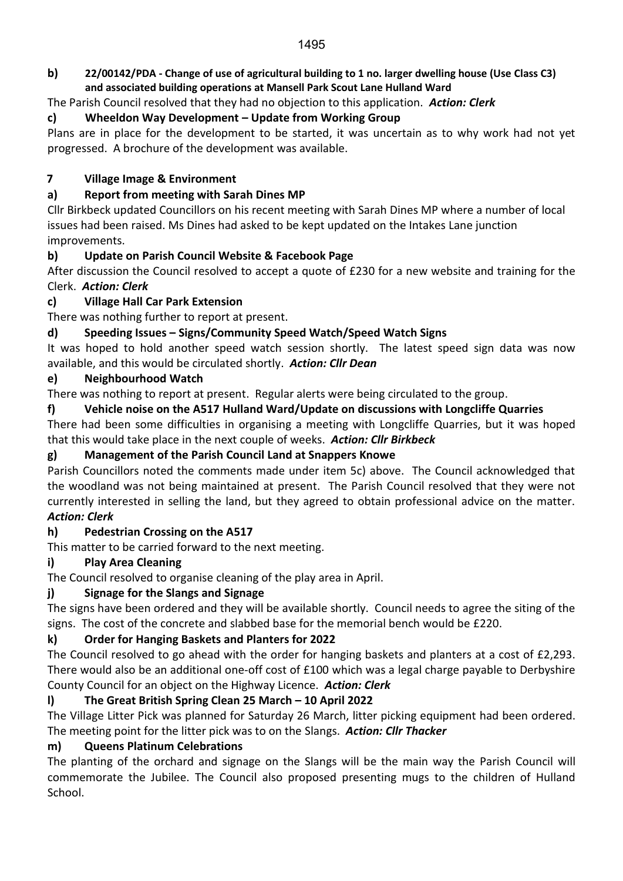#### **b) 22/00142/PDA - Change of use of agricultural building to 1 no. larger dwelling house (Use Class C3) and associated building operations at Mansell Park Scout Lane Hulland Ward**

The Parish Council resolved that they had no objection to this application. *Action: Clerk*

## **c) Wheeldon Way Development – Update from Working Group**

Plans are in place for the development to be started, it was uncertain as to why work had not yet progressed. A brochure of the development was available.

## **7 Village Image & Environment**

## **a) Report from meeting with Sarah Dines MP**

Cllr Birkbeck updated Councillors on his recent meeting with Sarah Dines MP where a number of local issues had been raised. Ms Dines had asked to be kept updated on the Intakes Lane junction improvements.

## **b) Update on Parish Council Website & Facebook Page**

After discussion the Council resolved to accept a quote of £230 for a new website and training for the Clerk. *Action: Clerk*

## **c) Village Hall Car Park Extension**

There was nothing further to report at present.

## **d) Speeding Issues – Signs/Community Speed Watch/Speed Watch Signs**

It was hoped to hold another speed watch session shortly. The latest speed sign data was now available, and this would be circulated shortly. *Action: Cllr Dean*

## **e) Neighbourhood Watch**

There was nothing to report at present. Regular alerts were being circulated to the group.

## **f) Vehicle noise on the A517 Hulland Ward/Update on discussions with Longcliffe Quarries**

There had been some difficulties in organising a meeting with Longcliffe Quarries, but it was hoped that this would take place in the next couple of weeks. *Action: Cllr Birkbeck*

## **g) Management of the Parish Council Land at Snappers Knowe**

Parish Councillors noted the comments made under item 5c) above. The Council acknowledged that the woodland was not being maintained at present. The Parish Council resolved that they were not currently interested in selling the land, but they agreed to obtain professional advice on the matter. *Action: Clerk*

#### **h) Pedestrian Crossing on the A517**

This matter to be carried forward to the next meeting.

## **i) Play Area Cleaning**

The Council resolved to organise cleaning of the play area in April.

## **j) Signage for the Slangs and Signage**

The signs have been ordered and they will be available shortly. Council needs to agree the siting of the signs. The cost of the concrete and slabbed base for the memorial bench would be £220.

## **k) Order for Hanging Baskets and Planters for 2022**

The Council resolved to go ahead with the order for hanging baskets and planters at a cost of £2,293. There would also be an additional one-off cost of £100 which was a legal charge payable to Derbyshire County Council for an object on the Highway Licence. *Action: Clerk*

## **l) The Great British Spring Clean 25 March – 10 April 2022**

The Village Litter Pick was planned for Saturday 26 March, litter picking equipment had been ordered. The meeting point for the litter pick was to on the Slangs. *Action: Cllr Thacker*

## **m) Queens Platinum Celebrations**

The planting of the orchard and signage on the Slangs will be the main way the Parish Council will commemorate the Jubilee. The Council also proposed presenting mugs to the children of Hulland School.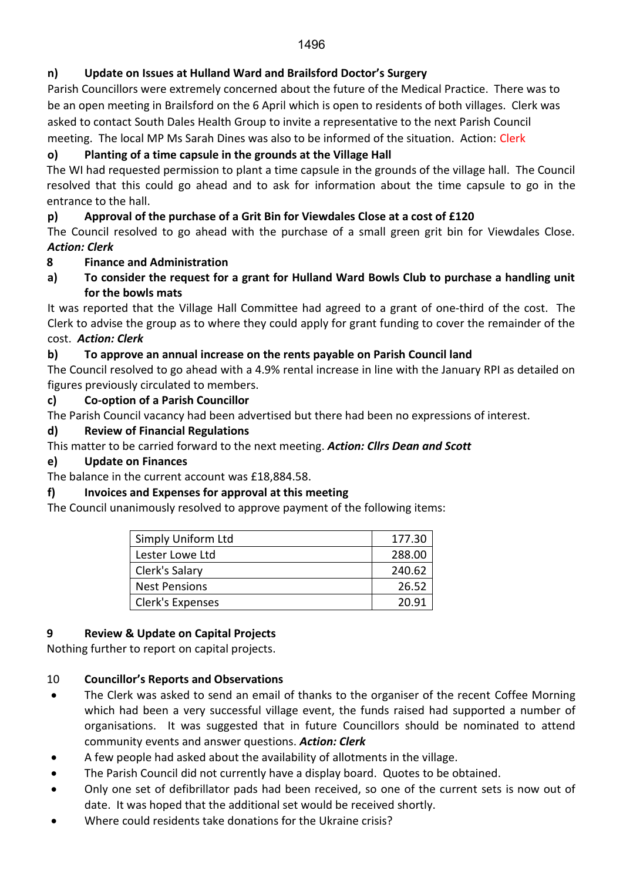## **n) Update on Issues at Hulland Ward and Brailsford Doctor's Surgery**

Parish Councillors were extremely concerned about the future of the Medical Practice. There was to be an open meeting in Brailsford on the 6 April which is open to residents of both villages. Clerk was asked to contact South Dales Health Group to invite a representative to the next Parish Council meeting. The local MP Ms Sarah Dines was also to be informed of the situation. Action: Clerk

## **o) Planting of a time capsule in the grounds at the Village Hall**

The WI had requested permission to plant a time capsule in the grounds of the village hall. The Council resolved that this could go ahead and to ask for information about the time capsule to go in the entrance to the hall.

## **p) Approval of the purchase of a Grit Bin for Viewdales Close at a cost of £120**

The Council resolved to go ahead with the purchase of a small green grit bin for Viewdales Close. *Action: Clerk*

## **8 Finance and Administration**

**a) To consider the request for a grant for Hulland Ward Bowls Club to purchase a handling unit for the bowls mats**

It was reported that the Village Hall Committee had agreed to a grant of one-third of the cost. The Clerk to advise the group as to where they could apply for grant funding to cover the remainder of the cost. *Action: Clerk*

## **b) To approve an annual increase on the rents payable on Parish Council land**

The Council resolved to go ahead with a 4.9% rental increase in line with the January RPI as detailed on figures previously circulated to members.

#### **c) Co-option of a Parish Councillor**

The Parish Council vacancy had been advertised but there had been no expressions of interest.

## **d) Review of Financial Regulations**

This matter to be carried forward to the next meeting. *Action: Cllrs Dean and Scott*

#### **e) Update on Finances**

The balance in the current account was £18,884.58.

#### **f) Invoices and Expenses for approval at this meeting**

The Council unanimously resolved to approve payment of the following items:

| Simply Uniform Ltd   | 177.30 |
|----------------------|--------|
| Lester Lowe Ltd      | 288.00 |
| Clerk's Salary       | 240.62 |
| <b>Nest Pensions</b> | 26.52  |
| Clerk's Expenses     | 20.91  |

#### **9 Review & Update on Capital Projects**

Nothing further to report on capital projects.

#### 10 **Councillor's Reports and Observations**

- The Clerk was asked to send an email of thanks to the organiser of the recent Coffee Morning which had been a very successful village event, the funds raised had supported a number of organisations. It was suggested that in future Councillors should be nominated to attend community events and answer questions. *Action: Clerk*
- A few people had asked about the availability of allotments in the village.
- The Parish Council did not currently have a display board. Quotes to be obtained.
- Only one set of defibrillator pads had been received, so one of the current sets is now out of date. It was hoped that the additional set would be received shortly.
- Where could residents take donations for the Ukraine crisis?